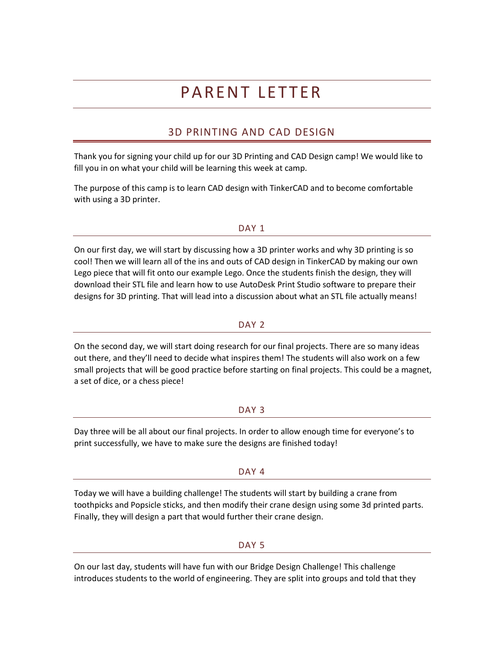# PARFNT LFTTFR

## 3D PRINTING AND CAD DESIGN

Thank you for signing your child up for our 3D Printing and CAD Design camp! We would like to fill you in on what your child will be learning this week at camp.

The purpose of this camp is to learn CAD design with TinkerCAD and to become comfortable with using a 3D printer.

### DAY<sub>1</sub>

On our first day, we will start by discussing how a 3D printer works and why 3D printing is so cool! Then we will learn all of the ins and outs of CAD design in TinkerCAD by making our own Lego piece that will fit onto our example Lego. Once the students finish the design, they will download their STL file and learn how to use AutoDesk Print Studio software to prepare their designs for 3D printing. That will lead into a discussion about what an STL file actually means!

#### DAY<sub>2</sub>

On the second day, we will start doing research for our final projects. There are so many ideas out there, and they'll need to decide what inspires them! The students will also work on a few small projects that will be good practice before starting on final projects. This could be a magnet, a set of dice, or a chess piece!

#### DAY<sub>3</sub>

Day three will be all about our final projects. In order to allow enough time for everyone's to print successfully, we have to make sure the designs are finished today!

#### DAY 4

Today we will have a building challenge! The students will start by building a crane from toothpicks and Popsicle sticks, and then modify their crane design using some 3d printed parts. Finally, they will design a part that would further their crane design.

#### DAY<sub>5</sub>

On our last day, students will have fun with our Bridge Design Challenge! This challenge introduces students to the world of engineering. They are split into groups and told that they